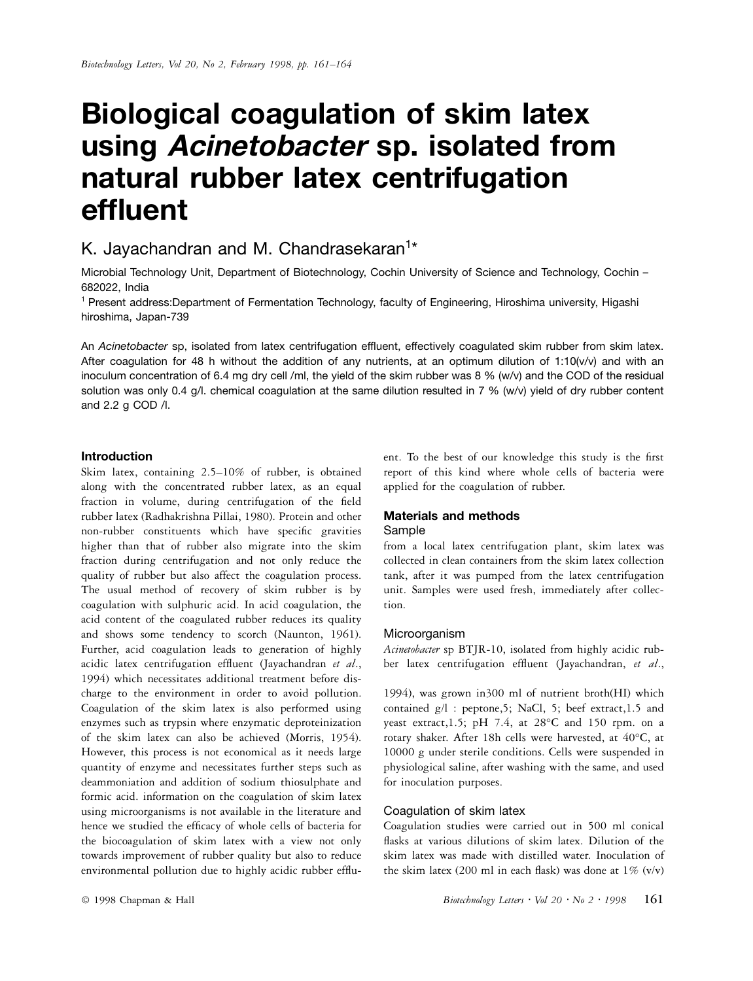# **Biological coagulation of skim latex using Acinetobacter sp. isolated from natural rubber latex centrifugation effluent**

# K. Jayachandran and M. Chandrasekaran<sup>1\*</sup>

Microbial Technology Unit, Department of Biotechnology, Cochin University of Science and Technology, Cochin – 682022, India

<sup>1</sup> Present address:Department of Fermentation Technology, faculty of Engineering, Hiroshima university, Higashi hiroshima, Japan-739

An *Acinetobacter* sp, isolated from latex centrifugation effluent, effectively coagulated skim rubber from skim latex. After coagulation for 48 h without the addition of any nutrients, at an optimum dilution of 1:10( $v/v$ ) and with an inoculum concentration of 6.4 mg dry cell /ml, the yield of the skim rubber was 8 % (w/v) and the COD of the residual solution was only 0.4 g/l. chemical coagulation at the same dilution resulted in 7 % (w/v) yield of dry rubber content and 2.2 g COD /l.

#### **Introduction**

Skim latex, containing 2.5–10% of rubber, is obtained along with the concentrated rubber latex, as an equal fraction in volume, during centrifugation of the field rubber latex [\(Radhakrishna Pillai, 1980\).](#page-3-0) Protein and other non-rubber constituents which have specific gravities higher than that of rubber also migrate into the skim fraction during centrifugation and not only reduce the quality of rubber but also affect the coagulation process. The usual method of recovery of skim rubber is by coagulation with sulphuric acid. In acid coagulation, the acid content of the coagulated rubber reduces its quality and shows some tendency to scorch [\(Naunton, 1961\).](#page-3-0) Further, acid coagulation leads to generation of highly acidic latex centrifugation effluent (Jayachandran *et al*., [1994\) which necessitates additional treatment before dis](#page-3-0)charge to the environment in order to avoid pollution. Coagulation of the skim latex is also performed using enzymes such as trypsin where enzymatic deproteinization of the skim latex can also be achieved [\(Morris, 1954\).](#page-3-0) However, this process is not economical as it needs large quantity of enzyme and necessitates further steps such as deammoniation and addition of sodium thiosulphate and formic acid. information on the coagulation of skim latex using microorganisms is not available in the literature and hence we studied the efficacy of whole cells of bacteria for the biocoagulation of skim latex with a view not only towards improvement of rubber quality but also to reduce environmental pollution due to highly acidic rubber effluent. To the best of our knowledge this study is the first report of this kind where whole cells of bacteria were applied for the coagulation of rubber.

# **Materials and methods**

### Sample

from a local latex centrifugation plant, skim latex was collected in clean containers from the skim latex collection tank, after it was pumped from the latex centrifugation unit. Samples were used fresh, immediately after collection.

#### Microorganism

*Acinetobacter* sp BTJR-10, isolated from highly acidic rubber latex centrifugation effluent (Jayachandran, *et al*.,

1994), was grown in300 ml of nutrient broth(HI) which contained g/l : peptone,5; NaCl, 5; beef extract,1.5 and yeast extract,1.5; pH 7.4, at 28°C and 150 rpm. on a rotary shaker. After 18h cells were harvested, at 40°C, at 10000 g under sterile conditions. Cells were suspended in physiological saline, after washing with the same, and used for inoculation purposes.

### Coagulation of skim latex

Coagulation studies were carried out in 500 ml conical flasks at various dilutions of skim latex. Dilution of the skim latex was made with distilled water. Inoculation of the skim latex (200 ml in each flask) was done at  $1\%$  (v/v)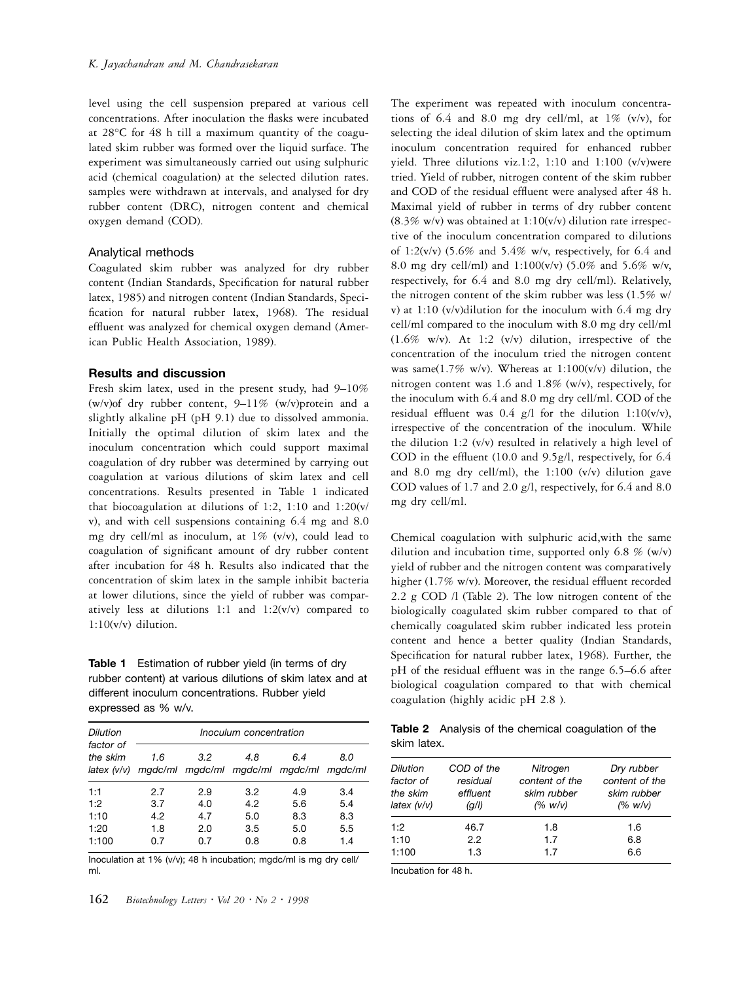level using the cell suspension prepared at various cell concentrations. After inoculation the flasks were incubated at 28°C for 48 h till a maximum quantity of the coagulated skim rubber was formed over the liquid surface. The experiment was simultaneously carried out using sulphuric acid (chemical coagulation) at the selected dilution rates. samples were withdrawn at intervals, and analysed for dry rubber content (DRC), nitrogen content and chemical oxygen demand (COD).

### Analytical methods

Coagulated skim rubber was analyzed for dry rubber content [\(Indian Standards, Specification for natural rubber](#page-3-0) [latex, 1985\)](#page-3-0) and nitrogen content [\(Indian Standards, Speci](#page-2-0)[fication for natural rubber latex, 1968\).](#page-2-0) The residual [effluent was analyzed for chemical oxygen demand \(Amer](#page-2-0)ican Public Health Association, 1989).

#### **Results and discussion**

Fresh skim latex, used in the present study, had 9–10% (w/v)of dry rubber content,  $9-11\%$  (w/v)protein and a slightly alkaline pH (pH 9.1) due to dissolved ammonia. Initially the optimal dilution of skim latex and the inoculum concentration which could support maximal coagulation of dry rubber was determined by carrying out coagulation at various dilutions of skim latex and cell concentrations. Results presented in Table 1 indicated that biocoagulation at dilutions of 1:2, 1:10 and 1:20(v/ v), and with cell suspensions containing 6.4 mg and 8.0 mg dry cell/ml as inoculum, at  $1\%$  (v/v), could lead to coagulation of significant amount of dry rubber content after incubation for 48 h. Results also indicated that the concentration of skim latex in the sample inhibit bacteria at lower dilutions, since the yield of rubber was comparatively less at dilutions 1:1 and  $1:2(v/v)$  compared to  $1:10(v/v)$  dilution.

**Table 1** Estimation of rubber yield (in terms of dry rubber content) at various dilutions of skim latex and at different inoculum concentrations. Rubber yield expressed as % w/v.

| <b>Dilution</b><br>factor of<br>the skim<br>$\lambda$ latex (v/v) mgdc/ml mgdc/ml mgdc/ml mgdc/ml mgdc/ml | Inoculum concentration |            |            |            |            |  |
|-----------------------------------------------------------------------------------------------------------|------------------------|------------|------------|------------|------------|--|
|                                                                                                           | 1.6                    | 3.2        | 4.8        | 6.4        | 8.0        |  |
| 1:1                                                                                                       | 2.7                    | 2.9        | 3.2        | 4.9        | 3.4        |  |
| 1:2                                                                                                       | 3.7                    | 4.0        | 4.2        | 5.6        | 5.4        |  |
| 1:10                                                                                                      | 4.2                    | 4.7        | 5.0        | 8.3        | 8.3        |  |
| 1:20<br>1:100                                                                                             | 1.8<br>0.7             | 2.0<br>0.7 | 3.5<br>0.8 | 5.0<br>0.8 | 5.5<br>1.4 |  |

Inoculation at 1% (v/v); 48 h incubation; mgdc/ml is mg dry cell/ ml.

The experiment was repeated with inoculum concentrations of 6.4 and 8.0 mg dry cell/ml, at  $1\%$  (v/v), for selecting the ideal dilution of skim latex and the optimum inoculum concentration required for enhanced rubber yield. Three dilutions viz.1:2, 1:10 and 1:100 (v/v)were tried. Yield of rubber, nitrogen content of the skim rubber and COD of the residual effluent were analysed after 48 h. Maximal yield of rubber in terms of dry rubber content  $(8.3\% \text{ w/v})$  was obtained at  $1:10(v/v)$  dilution rate irrespective of the inoculum concentration compared to dilutions of 1:2(v/v) (5.6% and 5.4% w/v, respectively, for 6.4 and 8.0 mg dry cell/ml) and 1:100(v/v) (5.0% and 5.6% w/v, respectively, for 6.4 and 8.0 mg dry cell/ml). Relatively, the nitrogen content of the skim rubber was less (1.5% w/ v) at 1:10  $(v/v)$  dilution for the inoculum with 6.4 mg dry cell/ml compared to the inoculum with 8.0 mg dry cell/ml  $(1.6\% \text{ w/v})$ . At 1:2  $(\text{v/v})$  dilution, irrespective of the concentration of the inoculum tried the nitrogen content was same(1.7% w/v). Whereas at 1:100(v/v) dilution, the nitrogen content was 1.6 and 1.8% (w/v), respectively, for the inoculum with 6.4 and 8.0 mg dry cell/ml. COD of the residual effluent was  $0.4$  g/l for the dilution  $1:10(v/v)$ , irrespective of the concentration of the inoculum. While the dilution 1:2 (v/v) resulted in relatively a high level of COD in the effluent (10.0 and 9.5g/l, respectively, for 6.4 and 8.0 mg dry cell/ml), the 1:100 (v/v) dilution gave COD values of 1.7 and 2.0 g/l, respectively, for 6.4 and 8.0 mg dry cell/ml.

Chemical coagulation with sulphuric acid,with the same dilution and incubation time, supported only 6.8  $\%$  (w/v) yield of rubber and the nitrogen content was comparatively higher (1.7% w/v). Moreover, the residual effluent recorded 2.2 g COD /l (Table 2). The low nitrogen content of the biologically coagulated skim rubber compared to that of chemically coagulated skim rubber indicated less protein content and hence a better quality (Indian Standards, [Specification for natural rubber latex, 1968\). Further, the](#page-2-0) pH of the residual effluent was in the range 6.5–6.6 after biological coagulation compared to that with chemical coagulation (highly acidic pH 2.8 ).

|             | <b>Table 2</b> Analysis of the chemical coagulation of the |
|-------------|------------------------------------------------------------|
| skim latex. |                                                            |

| <b>Dilution</b> | COD of the | Nitrogen       | Dry rubber     |
|-----------------|------------|----------------|----------------|
| factor of       | residual   | content of the | content of the |
| the skim        | effluent   | skim rubber    | skim rubber    |
| latex $(v/v)$   | (q/l)      | (% w/v)        | (% w/v)        |
| 1:2             | 46.7       | 1.8            | 1.6            |
| 1:10            | 2.2        | 1.7            | 6.8            |
| 1:100           | 1.3        | 17             | 6.6            |

Incubation for 48 h.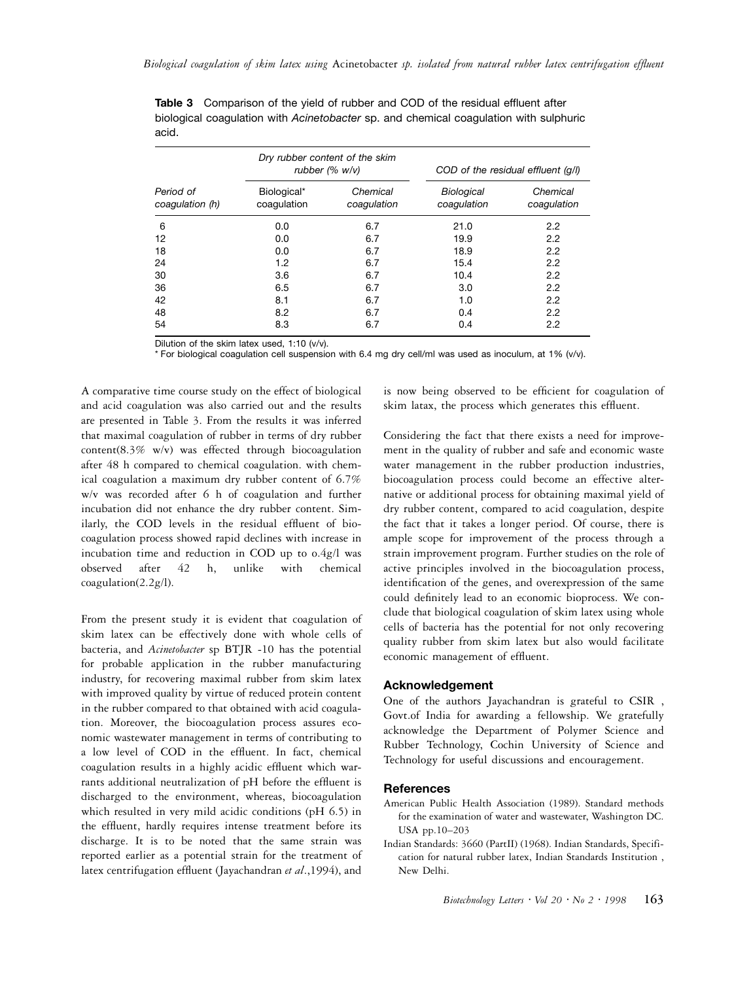| Period of<br>coaqulation (h) | Dry rubber content of the skim<br>rubber $(\% w/v)$ |                         | COD of the residual effluent (q/l) |                         |
|------------------------------|-----------------------------------------------------|-------------------------|------------------------------------|-------------------------|
|                              | Biological*<br>coagulation                          | Chemical<br>coagulation | Biological<br>coagulation          | Chemical<br>coagulation |
| 6                            | 0.0                                                 | 6.7                     | 21.0                               | 2.2                     |
| 12                           | 0.0                                                 | 6.7                     | 19.9                               | 2.2                     |
| 18                           | 0.0                                                 | 6.7                     | 18.9                               | 2.2                     |
| 24                           | 1.2                                                 | 6.7                     | 15.4                               | 2.2                     |
| 30                           | 3.6                                                 | 6.7                     | 10.4                               | 2.2                     |
| 36                           | 6.5                                                 | 6.7                     | 3.0                                | 2.2                     |
| 42                           | 8.1                                                 | 6.7                     | 1.0                                | 2.2                     |
| 48                           | 8.2                                                 | 6.7                     | 0.4                                | 2.2                     |
| 54                           | 8.3                                                 | 6.7                     | 0.4                                | 2.2                     |

<span id="page-2-0"></span>**Table 3** Comparison of the yield of rubber and COD of the residual effluent after biological coagulation with *Acinetobacter* sp. and chemical coagulation with sulphuric acid.

Dilution of the skim latex used, 1:10 (v/v).

\* For biological coagulation cell suspension with 6.4 mg dry cell/ml was used as inoculum, at 1% (v/v).

A comparative time course study on the effect of biological and acid coagulation was also carried out and the results are presented in Table 3. From the results it was inferred that maximal coagulation of rubber in terms of dry rubber content(8.3% w/v) was effected through biocoagulation after 48 h compared to chemical coagulation. with chemical coagulation a maximum dry rubber content of 6.7% w/v was recorded after 6 h of coagulation and further incubation did not enhance the dry rubber content. Similarly, the COD levels in the residual effluent of biocoagulation process showed rapid declines with increase in incubation time and reduction in COD up to o.4g/l was observed after 42 h, unlike with chemical coagulation(2.2g/l).

From the present study it is evident that coagulation of skim latex can be effectively done with whole cells of bacteria, and *Acinetobacter* sp BTJR -10 has the potential for probable application in the rubber manufacturing industry, for recovering maximal rubber from skim latex with improved quality by virtue of reduced protein content in the rubber compared to that obtained with acid coagulation. Moreover, the biocoagulation process assures economic wastewater management in terms of contributing to a low level of COD in the effluent. In fact, chemical coagulation results in a highly acidic effluent which warrants additional neutralization of pH before the effluent is discharged to the environment, whereas, biocoagulation which resulted in very mild acidic conditions (pH 6.5) in the effluent, hardly requires intense treatment before its discharge. It is to be noted that the same strain was reported earlier as a potential strain for the treatment of latex centrifugation effluen[t \(Jayachandran](#page-3-0) *et al*.,1994), and

is now being observed to be efficient for coagulation of skim latax, the process which generates this effluent.

Considering the fact that there exists a need for improvement in the quality of rubber and safe and economic waste water management in the rubber production industries, biocoagulation process could become an effective alternative or additional process for obtaining maximal yield of dry rubber content, compared to acid coagulation, despite the fact that it takes a longer period. Of course, there is ample scope for improvement of the process through a strain improvement program. Further studies on the role of active principles involved in the biocoagulation process, identification of the genes, and overexpression of the same could definitely lead to an economic bioprocess. We conclude that biological coagulation of skim latex using whole cells of bacteria has the potential for not only recovering quality rubber from skim latex but also would facilitate economic management of effluent.

#### **Acknowledgement**

One of the authors Jayachandran is grateful to CSIR , Govt.of India for awarding a fellowship. We gratefully acknowledge the Department of Polymer Science and Rubber Technology, Cochin University of Science and Technology for useful discussions and encouragement.

## **References**

- American Public Health Association (1989). Standard methods for the examination of water and wastewater, Washington DC. USA pp.10–203
- Indian Standards: 3660 (PartII) (1968). Indian Standards, Specification for natural rubber latex, Indian Standards Institution , New Delhi.